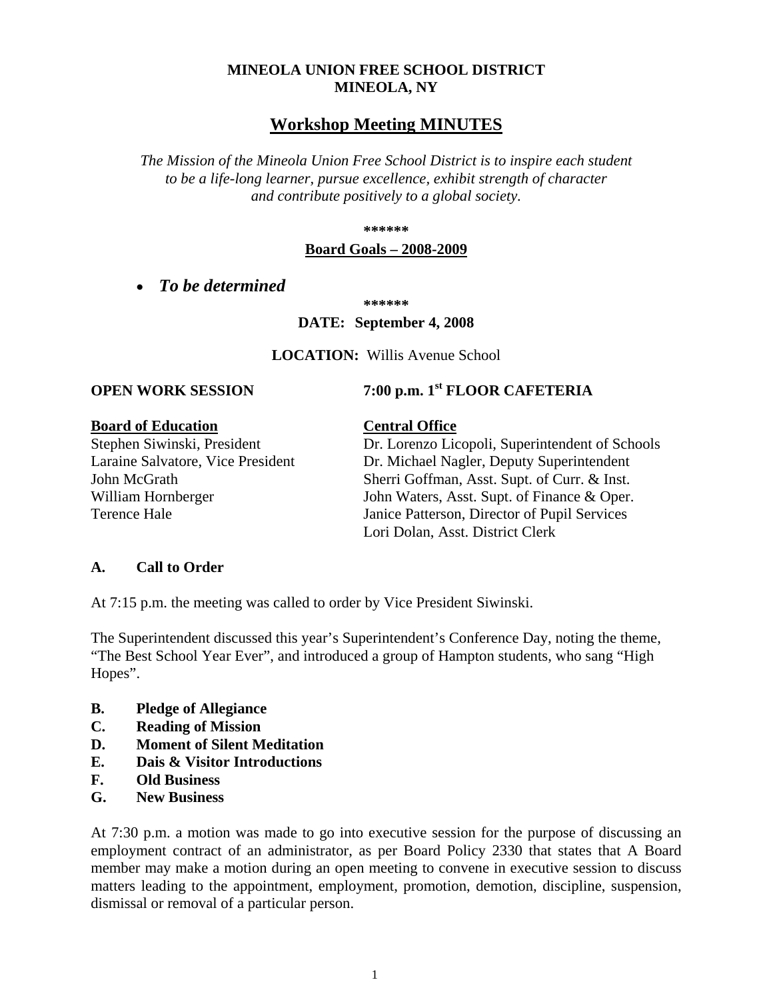## **MINEOLA UNION FREE SCHOOL DISTRICT MINEOLA, NY**

## **Workshop Meeting MINUTES**

*The Mission of the Mineola Union Free School District is to inspire each student to be a life-long learner, pursue excellence, exhibit strength of character and contribute positively to a global society.*

**\*\*\*\*\*\***

### **Board Goals – 2008-2009**

• *To be determined*

**\*\*\*\*\*\***

### **DATE: September 4, 2008**

**LOCATION:** Willis Avenue School

# **OPEN WORK SESSION 7:00 p.m.** 1<sup>st</sup> **FLOOR CAFETERIA**

**Board of Education**<br>Stephen Siwinski, President **Central Office**<br>Dr. Lorenzo Lic

Dr. Lorenzo Licopoli, Superintendent of Schools Laraine Salvatore, Vice President Dr. Michael Nagler, Deputy Superintendent John McGrath Sherri Goffman, Asst. Supt. of Curr. & Inst. William Hornberger John Waters, Asst. Supt. of Finance & Oper. Terence Hale Janice Patterson, Director of Pupil Services Lori Dolan, Asst. District Clerk

### **A. Call to Order**

At 7:15 p.m. the meeting was called to order by Vice President Siwinski.

The Superintendent discussed this year's Superintendent's Conference Day, noting the theme, "The Best School Year Ever", and introduced a group of Hampton students, who sang "High Hopes".

- **B. Pledge of Allegiance**
- **C. Reading of Mission**
- **D. Moment of Silent Meditation**
- **E. Dais & Visitor Introductions**
- **F. Old Business**
- **G. New Business**

At 7:30 p.m. a motion was made to go into executive session for the purpose of discussing an employment contract of an administrator, as per Board Policy 2330 that states that A Board member may make a motion during an open meeting to convene in executive session to discuss matters leading to the appointment, employment, promotion, demotion, discipline, suspension, dismissal or removal of a particular person.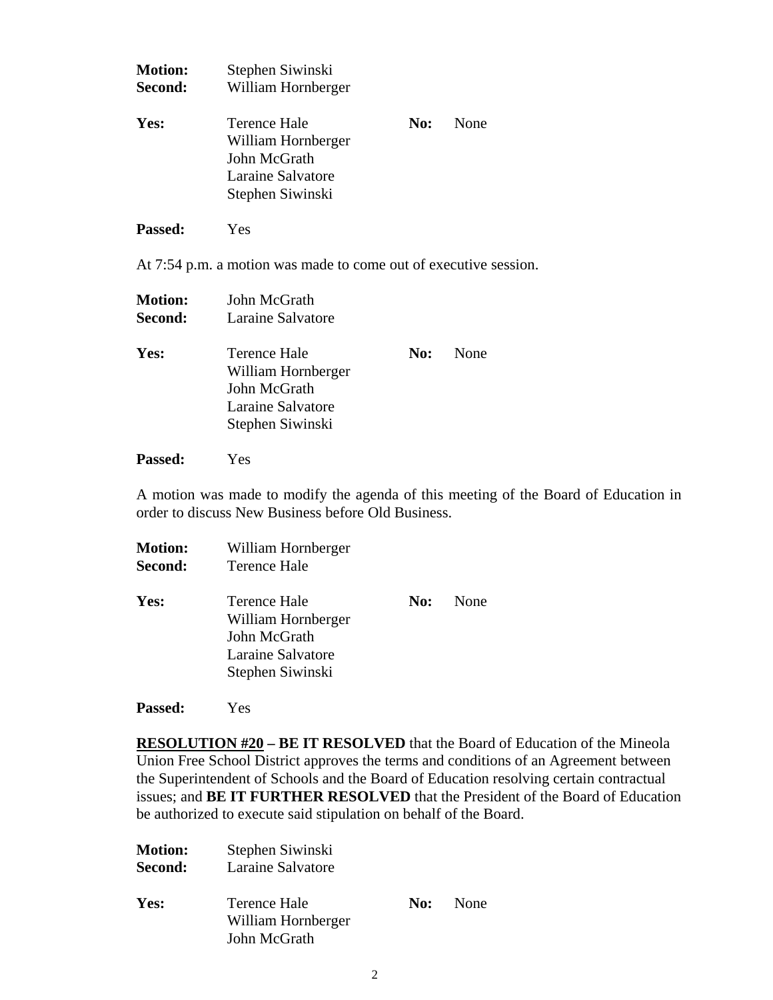| <b>Motion:</b><br>Second: | Stephen Siwinski<br>William Hornberger                                                      |     |      |
|---------------------------|---------------------------------------------------------------------------------------------|-----|------|
| Yes:                      | Terence Hale<br>William Hornberger<br>John McGrath<br>Laraine Salvatore<br>Stephen Siwinski | No: | None |
| <b>Passed:</b>            | Yes                                                                                         |     |      |
|                           | At 7:54 p.m. a motion was made to come out of executive session.                            |     |      |
| <b>Motion:</b><br>Second: | John McGrath<br>Laraine Salvatore                                                           |     |      |

| Yes: | Terence Hale       | No: None |
|------|--------------------|----------|
|      | William Hornberger |          |
|      | John McGrath       |          |
|      | Laraine Salvatore  |          |
|      | Stephen Siwinski   |          |

**Passed:** Yes

A motion was made to modify the agenda of this meeting of the Board of Education in order to discuss New Business before Old Business.

| <b>Motion:</b><br>Second: | William Hornberger<br>Terence Hale                                                          |     |      |
|---------------------------|---------------------------------------------------------------------------------------------|-----|------|
| Yes:                      | Terence Hale<br>William Hornberger<br>John McGrath<br>Laraine Salvatore<br>Stephen Siwinski | No: | None |

**Passed:** Yes

**RESOLUTION #20 – BE IT RESOLVED** that the Board of Education of the Mineola Union Free School District approves the terms and conditions of an Agreement between the Superintendent of Schools and the Board of Education resolving certain contractual issues; and **BE IT FURTHER RESOLVED** that the President of the Board of Education be authorized to execute said stipulation on behalf of the Board.

| <b>Motion:</b><br>Second: | Stephen Siwinski<br>Laraine Salvatore              |     |      |
|---------------------------|----------------------------------------------------|-----|------|
| Yes:                      | Terence Hale<br>William Hornberger<br>John McGrath | No: | None |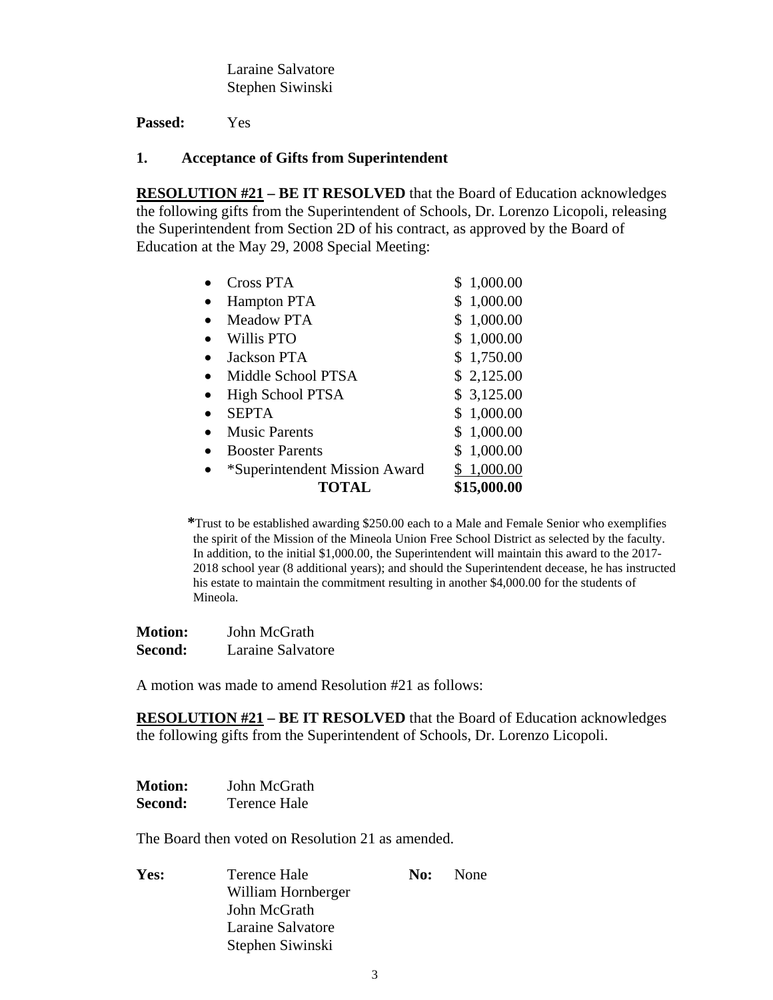Laraine Salvatore Stephen Siwinski

**Passed:** Yes

### **1. Acceptance of Gifts from Superintendent**

**RESOLUTION #21 – BE IT RESOLVED** that the Board of Education acknowledges the following gifts from the Superintendent of Schools, Dr. Lorenzo Licopoli, releasing the Superintendent from Section 2D of his contract, as approved by the Board of Education at the May 29, 2008 Special Meeting:

| TOTAL                         | \$15,000.00    |
|-------------------------------|----------------|
| *Superintendent Mission Award | \$1,000.00     |
| <b>Booster Parents</b>        | \$1,000.00     |
| <b>Music Parents</b>          | \$1,000.00     |
| <b>SEPTA</b>                  | \$1,000.00     |
| High School PTSA              | \$3,125.00     |
| Middle School PTSA            | \$2,125.00     |
| Jackson PTA                   | \$1,750.00     |
| <b>Willis PTO</b>             | \$<br>1,000.00 |
| <b>Meadow PTA</b>             | \$<br>1,000.00 |
| <b>Hampton PTA</b>            | \$<br>1,000.00 |
| Cross PTA                     | \$<br>1,000.00 |
|                               |                |

**\***Trust to be established awarding \$250.00 each to a Male and Female Senior who exemplifies the spirit of the Mission of the Mineola Union Free School District as selected by the faculty. In addition, to the initial \$1,000.00, the Superintendent will maintain this award to the 2017- 2018 school year (8 additional years); and should the Superintendent decease, he has instructed his estate to maintain the commitment resulting in another \$4,000.00 for the students of Mineola.

| <b>Motion:</b> | John McGrath      |  |
|----------------|-------------------|--|
| <b>Second:</b> | Laraine Salvatore |  |

A motion was made to amend Resolution #21 as follows:

**RESOLUTION #21 – BE IT RESOLVED** that the Board of Education acknowledges the following gifts from the Superintendent of Schools, Dr. Lorenzo Licopoli.

| <b>Motion:</b> | John McGrath |
|----------------|--------------|
| <b>Second:</b> | Terence Hale |

The Board then voted on Resolution 21 as amended.

**Yes:** Terence Hale **No:** None William Hornberger John McGrath Laraine Salvatore Stephen Siwinski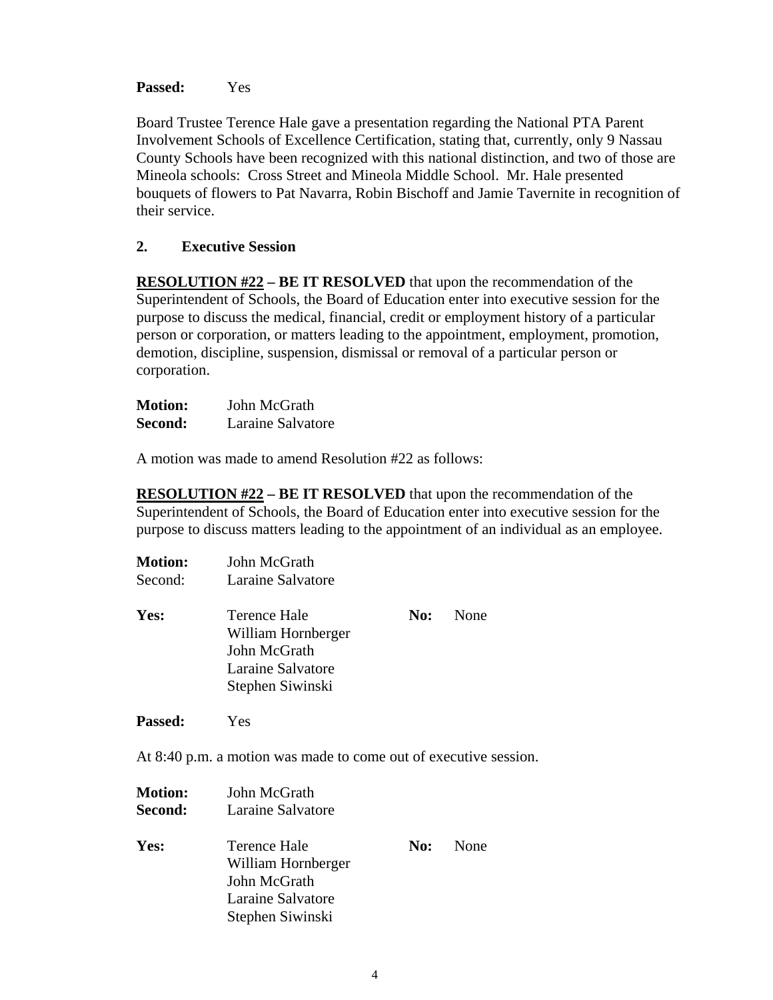**Passed:** Yes

Board Trustee Terence Hale gave a presentation regarding the National PTA Parent Involvement Schools of Excellence Certification, stating that, currently, only 9 Nassau County Schools have been recognized with this national distinction, and two of those are Mineola schools: Cross Street and Mineola Middle School. Mr. Hale presented bouquets of flowers to Pat Navarra, Robin Bischoff and Jamie Tavernite in recognition of their service.

## **2. Executive Session**

**RESOLUTION #22 – BE IT RESOLVED** that upon the recommendation of the Superintendent of Schools, the Board of Education enter into executive session for the purpose to discuss the medical, financial, credit or employment history of a particular person or corporation, or matters leading to the appointment, employment, promotion, demotion, discipline, suspension, dismissal or removal of a particular person or corporation.

| <b>Motion:</b> | John McGrath      |
|----------------|-------------------|
| Second:        | Laraine Salvatore |

A motion was made to amend Resolution #22 as follows:

**RESOLUTION #22 – BE IT RESOLVED** that upon the recommendation of the Superintendent of Schools, the Board of Education enter into executive session for the purpose to discuss matters leading to the appointment of an individual as an employee.

| <b>Motion:</b> | John McGrath                                                                                |     |      |
|----------------|---------------------------------------------------------------------------------------------|-----|------|
| Second:        | Laraine Salvatore                                                                           |     |      |
| Yes:           | Terence Hale<br>William Hornberger<br>John McGrath<br>Laraine Salvatore<br>Stephen Siwinski | No: | None |

**Passed:** Yes

At 8:40 p.m. a motion was made to come out of executive session.

| <b>Motion:</b><br>Second: | John McGrath<br>Laraine Salvatore                                                           |     |      |
|---------------------------|---------------------------------------------------------------------------------------------|-----|------|
| Yes:                      | Terence Hale<br>William Hornberger<br>John McGrath<br>Laraine Salvatore<br>Stephen Siwinski | No: | None |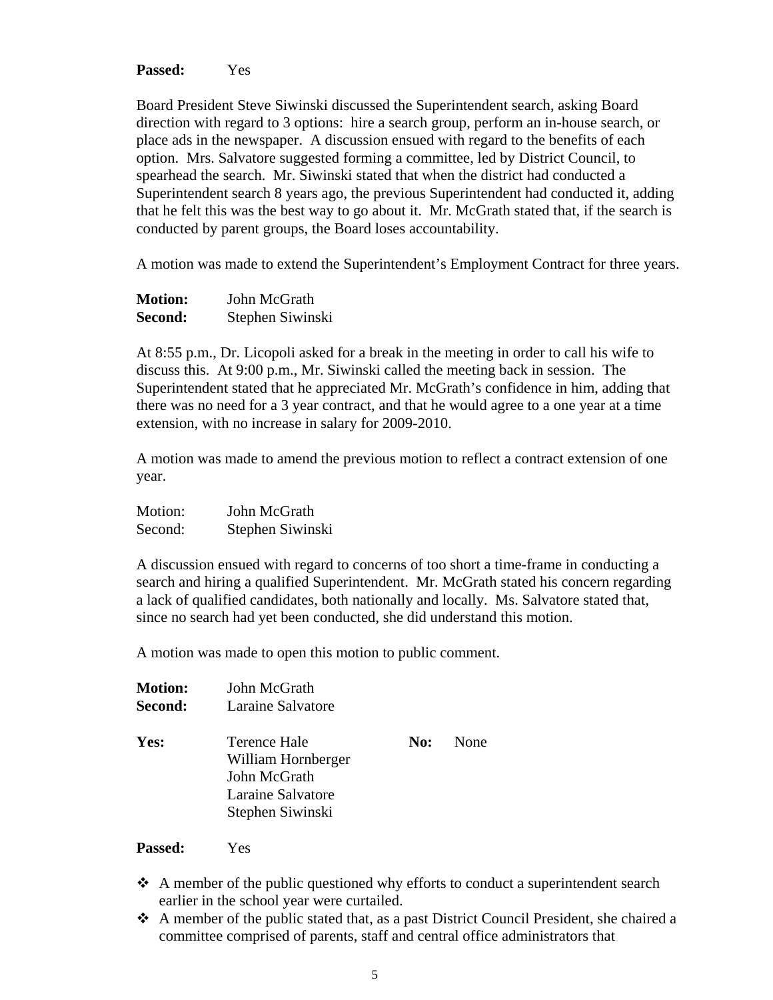**Passed:** Yes

Board President Steve Siwinski discussed the Superintendent search, asking Board direction with regard to 3 options: hire a search group, perform an in-house search, or place ads in the newspaper. A discussion ensued with regard to the benefits of each option. Mrs. Salvatore suggested forming a committee, led by District Council, to spearhead the search. Mr. Siwinski stated that when the district had conducted a Superintendent search 8 years ago, the previous Superintendent had conducted it, adding that he felt this was the best way to go about it. Mr. McGrath stated that, if the search is conducted by parent groups, the Board loses accountability.

A motion was made to extend the Superintendent's Employment Contract for three years.

| <b>Motion:</b> | John McGrath     |  |
|----------------|------------------|--|
| Second:        | Stephen Siwinski |  |

At 8:55 p.m., Dr. Licopoli asked for a break in the meeting in order to call his wife to discuss this. At 9:00 p.m., Mr. Siwinski called the meeting back in session. The Superintendent stated that he appreciated Mr. McGrath's confidence in him, adding that there was no need for a 3 year contract, and that he would agree to a one year at a time extension, with no increase in salary for 2009-2010.

A motion was made to amend the previous motion to reflect a contract extension of one year.

| Motion: | John McGrath     |
|---------|------------------|
| Second: | Stephen Siwinski |

A discussion ensued with regard to concerns of too short a time-frame in conducting a search and hiring a qualified Superintendent. Mr. McGrath stated his concern regarding a lack of qualified candidates, both nationally and locally. Ms. Salvatore stated that, since no search had yet been conducted, she did understand this motion.

A motion was made to open this motion to public comment.

| <b>Motion:</b> | John McGrath                                                                                |     |      |
|----------------|---------------------------------------------------------------------------------------------|-----|------|
| Second:        | Laraine Salvatore                                                                           |     |      |
| Yes:           | Terence Hale<br>William Hornberger<br>John McGrath<br>Laraine Salvatore<br>Stephen Siwinski | No: | None |

**Passed:** Yes

- $\triangle$  A member of the public questioned why efforts to conduct a superintendent search earlier in the school year were curtailed.
- A member of the public stated that, as a past District Council President, she chaired a committee comprised of parents, staff and central office administrators that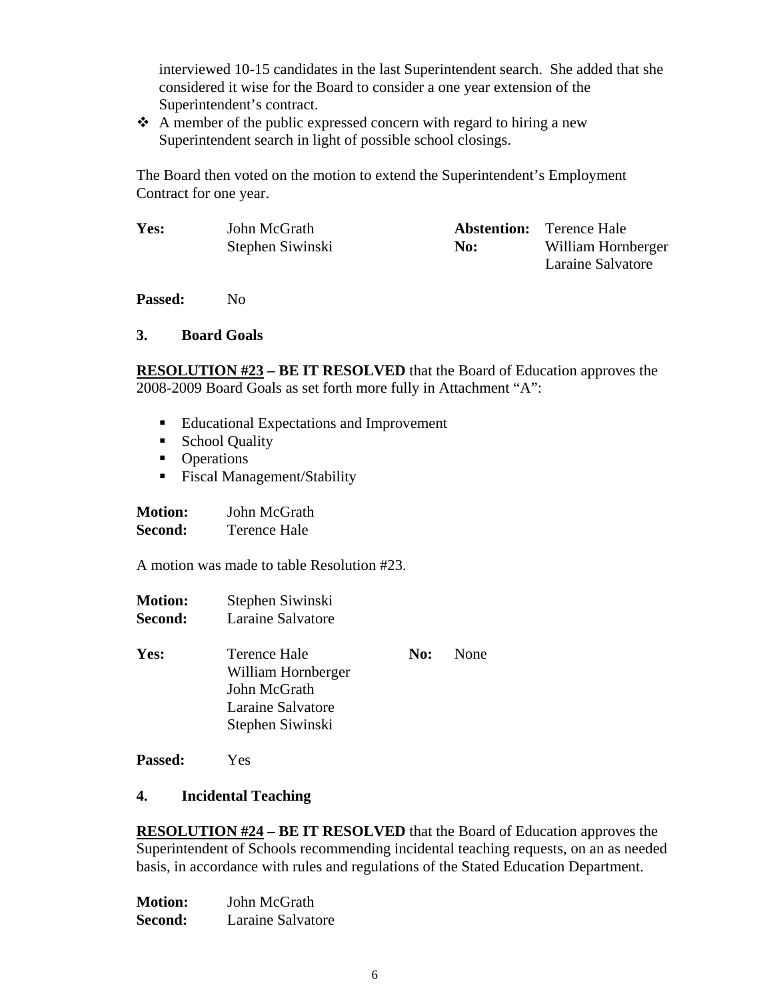interviewed 10-15 candidates in the last Superintendent search. She added that she considered it wise for the Board to consider a one year extension of the Superintendent's contract.

 $\triangle$  A member of the public expressed concern with regard to hiring a new Superintendent search in light of possible school closings.

The Board then voted on the motion to extend the Superintendent's Employment Contract for one year.

| Yes: | John McGrath     |     | <b>Abstention:</b> Terence Hale |
|------|------------------|-----|---------------------------------|
|      | Stephen Siwinski | No: | William Hornberger              |
|      |                  |     | Laraine Salvatore               |

Passed: No

### **3. Board Goals**

**RESOLUTION #23 – BE IT RESOLVED** that the Board of Education approves the 2008-2009 Board Goals as set forth more fully in Attachment "A":

- Educational Expectations and Improvement
- School Quality
- Operations
- Fiscal Management/Stability

| <b>Motion:</b> | John McGrath        |
|----------------|---------------------|
| Second:        | <b>Terence Hale</b> |

A motion was made to table Resolution #23.

- **Motion:** Stephen Siwinski **Second:** Laraine Salvatore
- **Yes:** Terence Hale **No:** None William Hornberger John McGrath Laraine Salvatore Stephen Siwinski
- **Passed:** Yes

## **4. Incidental Teaching**

**RESOLUTION #24 – BE IT RESOLVED** that the Board of Education approves the Superintendent of Schools recommending incidental teaching requests, on an as needed basis, in accordance with rules and regulations of the Stated Education Department.

| <b>Motion:</b> | John McGrath      |
|----------------|-------------------|
| Second:        | Laraine Salvatore |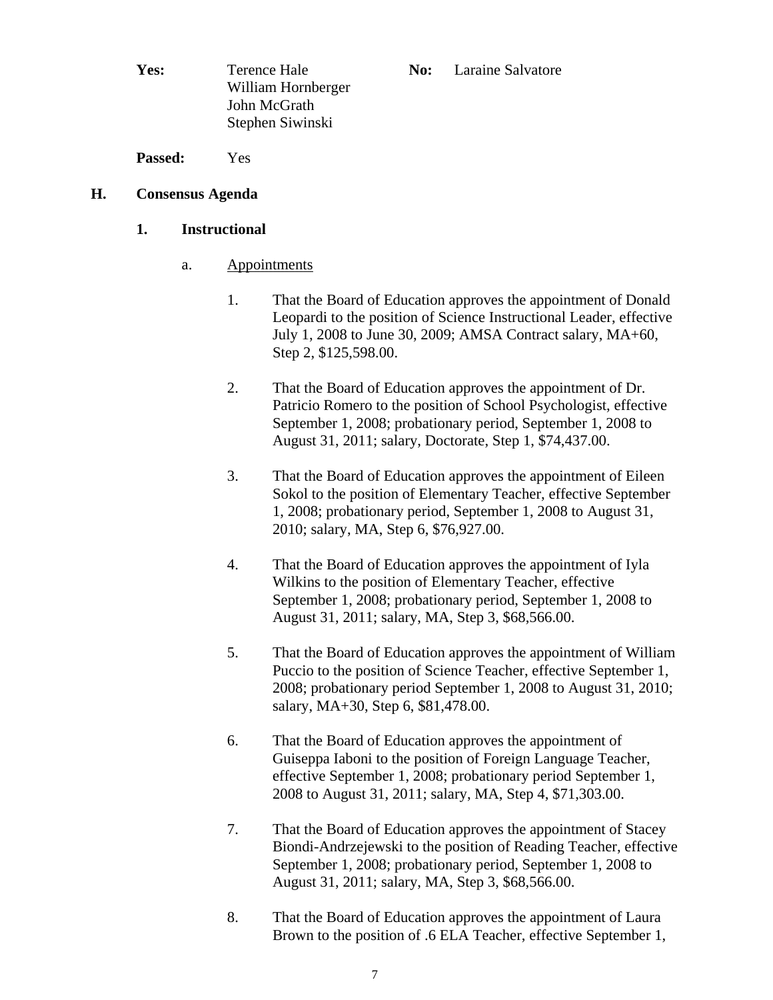**Yes:** Terence Hale **No:** Laraine Salvatore William Hornberger John McGrath Stephen Siwinski

**Passed:** Yes

## **H. Consensus Agenda**

## **1. Instructional**

- a. Appointments
	- 1. That the Board of Education approves the appointment of Donald Leopardi to the position of Science Instructional Leader, effective July 1, 2008 to June 30, 2009; AMSA Contract salary, MA+60, Step 2, \$125,598.00.
	- 2. That the Board of Education approves the appointment of Dr. Patricio Romero to the position of School Psychologist, effective September 1, 2008; probationary period, September 1, 2008 to August 31, 2011; salary, Doctorate, Step 1, \$74,437.00.
	- 3. That the Board of Education approves the appointment of Eileen Sokol to the position of Elementary Teacher, effective September 1, 2008; probationary period, September 1, 2008 to August 31, 2010; salary, MA, Step 6, \$76,927.00.
	- 4. That the Board of Education approves the appointment of Iyla Wilkins to the position of Elementary Teacher, effective September 1, 2008; probationary period, September 1, 2008 to August 31, 2011; salary, MA, Step 3, \$68,566.00.
	- 5. That the Board of Education approves the appointment of William Puccio to the position of Science Teacher, effective September 1, 2008; probationary period September 1, 2008 to August 31, 2010; salary, MA+30, Step 6, \$81,478.00.
	- 6. That the Board of Education approves the appointment of Guiseppa Iaboni to the position of Foreign Language Teacher, effective September 1, 2008; probationary period September 1, 2008 to August 31, 2011; salary, MA, Step 4, \$71,303.00.
	- 7. That the Board of Education approves the appointment of Stacey Biondi-Andrzejewski to the position of Reading Teacher, effective September 1, 2008; probationary period, September 1, 2008 to August 31, 2011; salary, MA, Step 3, \$68,566.00.
	- 8. That the Board of Education approves the appointment of Laura Brown to the position of .6 ELA Teacher, effective September 1,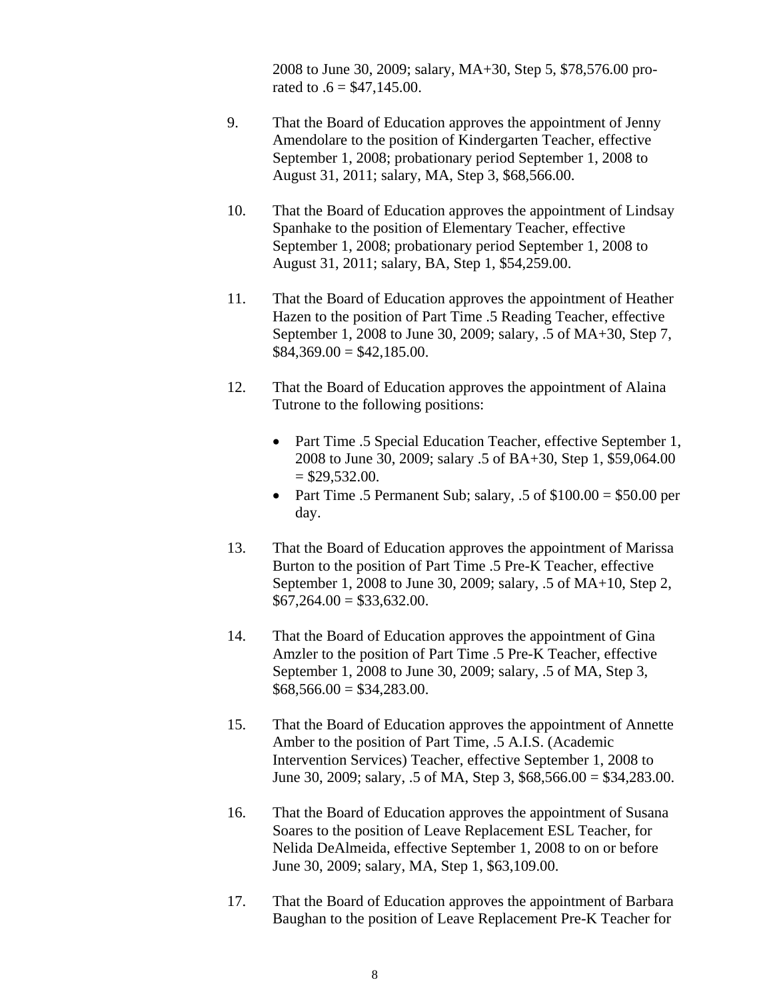2008 to June 30, 2009; salary, MA+30, Step 5, \$78,576.00 prorated to  $.6 = $47,145.00$ .

- 9. That the Board of Education approves the appointment of Jenny Amendolare to the position of Kindergarten Teacher, effective September 1, 2008; probationary period September 1, 2008 to August 31, 2011; salary, MA, Step 3, \$68,566.00.
- 10. That the Board of Education approves the appointment of Lindsay Spanhake to the position of Elementary Teacher, effective September 1, 2008; probationary period September 1, 2008 to August 31, 2011; salary, BA, Step 1, \$54,259.00.
- 11. That the Board of Education approves the appointment of Heather Hazen to the position of Part Time .5 Reading Teacher, effective September 1, 2008 to June 30, 2009; salary, .5 of MA+30, Step 7,  $$84,369.00 = $42,185.00.$
- 12. That the Board of Education approves the appointment of Alaina Tutrone to the following positions:
	- Part Time .5 Special Education Teacher, effective September 1, 2008 to June 30, 2009; salary .5 of BA+30, Step 1, \$59,064.00  $=$  \$29,532,00.
	- Part Time .5 Permanent Sub; salary, .5 of  $$100.00 = $50.00$  per day.
- 13. That the Board of Education approves the appointment of Marissa Burton to the position of Part Time .5 Pre-K Teacher, effective September 1, 2008 to June 30, 2009; salary, .5 of MA+10, Step 2,  $$67,264.00 = $33,632.00.$
- 14. That the Board of Education approves the appointment of Gina Amzler to the position of Part Time .5 Pre-K Teacher, effective September 1, 2008 to June 30, 2009; salary, .5 of MA, Step 3,  $$68,566.00 = $34,283.00.$
- 15. That the Board of Education approves the appointment of Annette Amber to the position of Part Time, .5 A.I.S. (Academic Intervention Services) Teacher, effective September 1, 2008 to June 30, 2009; salary, .5 of MA, Step 3, \$68,566.00 = \$34,283.00.
- 16. That the Board of Education approves the appointment of Susana Soares to the position of Leave Replacement ESL Teacher, for Nelida DeAlmeida, effective September 1, 2008 to on or before June 30, 2009; salary, MA, Step 1, \$63,109.00.
- 17. That the Board of Education approves the appointment of Barbara Baughan to the position of Leave Replacement Pre-K Teacher for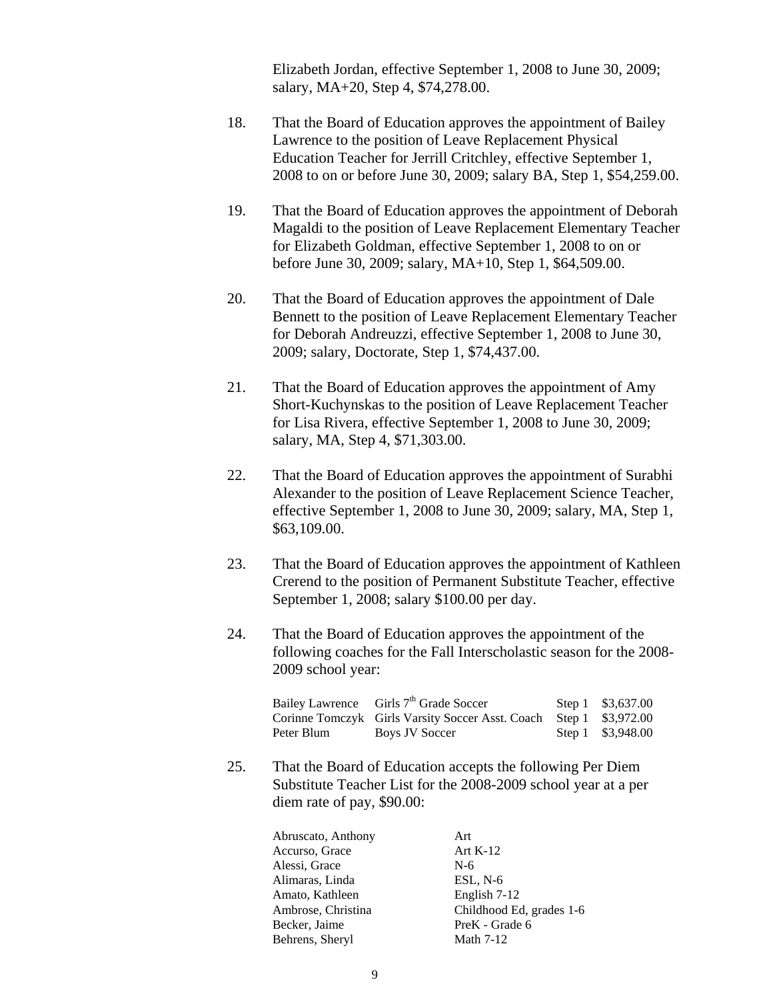Elizabeth Jordan, effective September 1, 2008 to June 30, 2009; salary, MA+20, Step 4, \$74,278.00.

- 18. That the Board of Education approves the appointment of Bailey Lawrence to the position of Leave Replacement Physical Education Teacher for Jerrill Critchley, effective September 1, 2008 to on or before June 30, 2009; salary BA, Step 1, \$54,259.00.
- 19. That the Board of Education approves the appointment of Deborah Magaldi to the position of Leave Replacement Elementary Teacher for Elizabeth Goldman, effective September 1, 2008 to on or before June 30, 2009; salary, MA+10, Step 1, \$64,509.00.
- 20. That the Board of Education approves the appointment of Dale Bennett to the position of Leave Replacement Elementary Teacher for Deborah Andreuzzi, effective September 1, 2008 to June 30, 2009; salary, Doctorate, Step 1, \$74,437.00.
- 21. That the Board of Education approves the appointment of Amy Short-Kuchynskas to the position of Leave Replacement Teacher for Lisa Rivera, effective September 1, 2008 to June 30, 2009; salary, MA, Step 4, \$71,303.00.
- 22. That the Board of Education approves the appointment of Surabhi Alexander to the position of Leave Replacement Science Teacher, effective September 1, 2008 to June 30, 2009; salary, MA, Step 1, \$63,109.00.
- 23. That the Board of Education approves the appointment of Kathleen Crerend to the position of Permanent Substitute Teacher, effective September 1, 2008; salary \$100.00 per day.
- 24. That the Board of Education approves the appointment of the following coaches for the Fall Interscholastic season for the 2008- 2009 school year:

|            | Bailey Lawrence Girls 7 <sup>th</sup> Grade Soccer                 | Step 1 $$3,637.00$ |
|------------|--------------------------------------------------------------------|--------------------|
|            | Corinne Tomczyk Girls Varsity Soccer Asst. Coach Step 1 \$3,972.00 |                    |
| Peter Blum | Boys JV Soccer                                                     | Step 1 \$3,948.00  |

25. That the Board of Education accepts the following Per Diem Substitute Teacher List for the 2008-2009 school year at a per diem rate of pay, \$90.00:

| Abruscato, Anthony | Art                      |
|--------------------|--------------------------|
| Accurso, Grace     | Art $K-12$               |
| Alessi, Grace      | $N-6$                    |
| Alimaras, Linda    | $ESL, N-6$               |
| Amato, Kathleen    | English 7-12             |
| Ambrose, Christina | Childhood Ed, grades 1-6 |
| Becker, Jaime      | PreK - Grade 6           |
| Behrens, Sheryl    | <b>Math 7-12</b>         |
|                    |                          |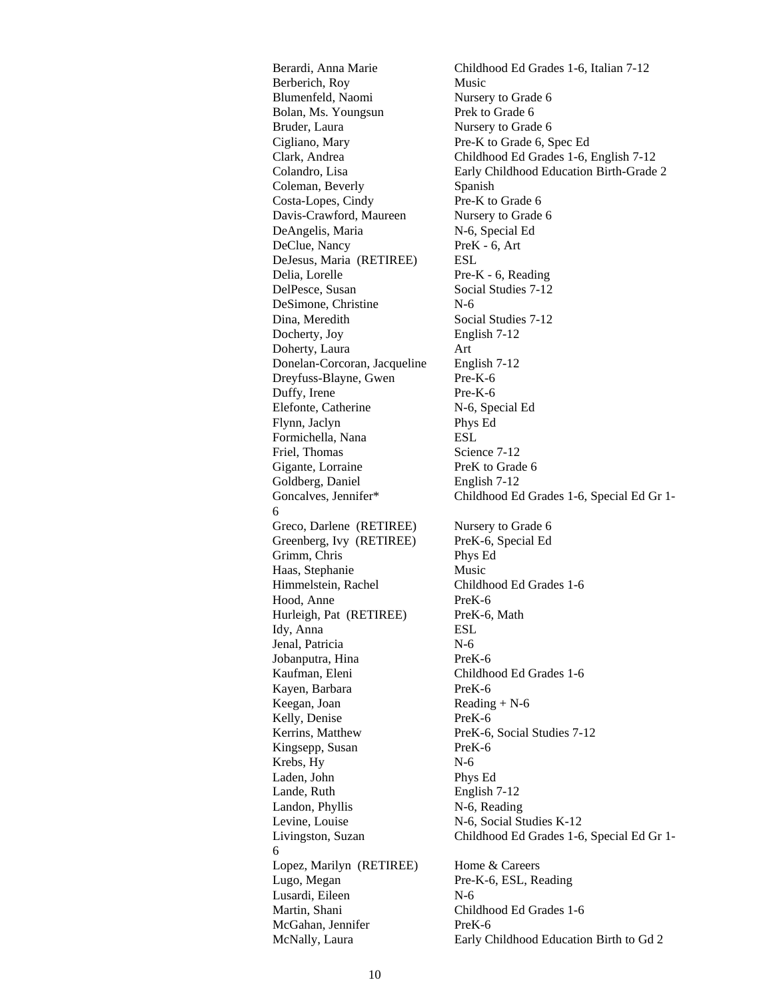Berardi, Anna Marie Childhood Ed Grades 1-6, Italian 7-12 Berberich, Roy Music Blumenfeld, Naomi Nursery to Grade 6 Bolan, Ms. Youngsun Prek to Grade 6 Bruder, Laura Nursery to Grade 6 Cigliano, Mary Pre-K to Grade 6, Spec Ed Clark, Andrea Childhood Ed Grades 1-6, English 7-12 Colandro, Lisa Early Childhood Education Birth-Grade 2 Coleman, Beverly Spanish Costa-Lopes, Cindy Pre-K to Grade 6 Davis-Crawford, Maureen Nursery to Grade 6 DeAngelis, Maria N-6, Special Ed DeClue, Nancy PreK - 6, Art DeJesus, Maria (RETIREE) ESL Delia, Lorelle Pre-K - 6, Reading DelPesce, Susan Social Studies 7-12 DeSimone, Christine N-6 Dina, Meredith Social Studies 7-12 Docherty, Joy English 7-12 Doherty, Laura Art Donelan-Corcoran, Jacqueline English 7-12 Dreyfuss-Blayne, Gwen Pre-K-6 Duffy, Irene Pre-K-6 Elefonte, Catherine N-6, Special Ed Flynn, Jaclyn Phys Ed Formichella, Nana ESL Friel, Thomas Science 7-12 Gigante, Lorraine PreK to Grade 6 Goldberg, Daniel English 7-12 Goncalves, Jennifer\* Childhood Ed Grades 1-6, Special Ed Gr 1-Greco, Darlene (RETIREE) Nursery to Grade 6 Greenberg, Ivy (RETIREE) PreK-6, Special Ed Grimm, Chris Phys Ed Haas, Stephanie Music Himmelstein, Rachel Childhood Ed Grades 1-6 Hood, Anne PreK-6 Hurleigh, Pat (RETIREE) PreK-6, Math Idy, Anna ESL Jenal, Patricia N-6 Jobanputra, Hina PreK-6 Kaufman, Eleni Childhood Ed Grades 1-6 Kayen, Barbara PreK-6 Keegan, Joan Reading + N-6 Kelly, Denise PreK-6 Kerrins, Matthew PreK-6, Social Studies 7-12 Kingsepp, Susan PreK-6 Krebs, Hy N-6 Laden, John Phys Ed Lande, Ruth English 7-12 Landon, Phyllis N-6, Reading Levine, Louise N-6, Social Studies K-12 Livingston, Suzan Childhood Ed Grades 1-6, Special Ed Gr 1- Lopez, Marilyn (RETIREE) Home & Careers Lugo, Megan Pre-K-6, ESL, Reading Lusardi, Eileen N-6 Martin, Shani Childhood Ed Grades 1-6 McGahan, Jennifer PreK-6 McNally, Laura Early Childhood Education Birth to Gd 2

6

6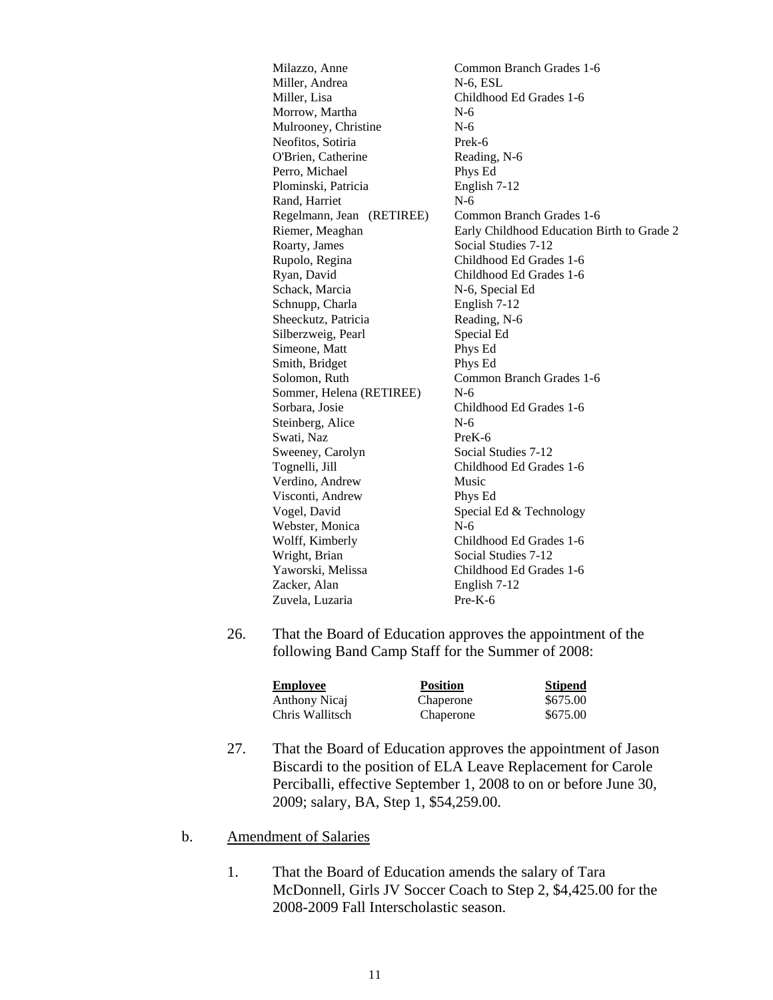Milazzo, Anne Common Branch Grades 1-6 Miller, Andrea N-6, ESL Miller, Lisa Childhood Ed Grades 1-6 Morrow, Martha N-6 Mulrooney, Christine N-6 Neofitos, Sotiria Prek-6 O'Brien, Catherine Reading, N-6 Perro, Michael Phys Ed Plominski, Patricia English 7-12 Rand, Harriet N-6 Regelmann, Jean (RETIREE) Common Branch Grades 1-6 Riemer, Meaghan Early Childhood Education Birth to Grade 2 Roarty, James Social Studies 7-12 Rupolo, Regina Childhood Ed Grades 1-6 Ryan, David Childhood Ed Grades 1-6 Schack, Marcia N-6, Special Ed Schnupp, Charla English 7-12 Sheeckutz, Patricia Reading, N-6 Silberzweig, Pearl Special Ed Simeone, Matt Phys Ed Smith, Bridget Phys Ed Solomon, Ruth Common Branch Grades 1-6 Sommer, Helena (RETIREE) N-6 Sorbara, Josie Childhood Ed Grades 1-6 Steinberg, Alice N-6 Swati, Naz PreK-6 Sweeney, Carolyn Social Studies 7-12 Tognelli, Jill Childhood Ed Grades 1-6 Verdino, Andrew Music Visconti, Andrew Phys Ed Vogel, David Special Ed & Technology Webster, Monica N-6 Wolff, Kimberly Childhood Ed Grades 1-6 Wright, Brian Social Studies 7-12 Yaworski, Melissa Childhood Ed Grades 1-6 Zacker, Alan English 7-12 Zuvela, Luzaria Pre-K-6

26. That the Board of Education approves the appointment of the following Band Camp Staff for the Summer of 2008:

| <b>Employee</b> | <b>Position</b> | <b>Stipend</b> |
|-----------------|-----------------|----------------|
| Anthony Nicaj   | Chaperone       | \$675.00       |
| Chris Wallitsch | Chaperone       | \$675.00       |

- 27. That the Board of Education approves the appointment of Jason Biscardi to the position of ELA Leave Replacement for Carole Perciballi, effective September 1, 2008 to on or before June 30, 2009; salary, BA, Step 1, \$54,259.00.
- b. Amendment of Salaries
	- 1. That the Board of Education amends the salary of Tara McDonnell, Girls JV Soccer Coach to Step 2, \$4,425.00 for the 2008-2009 Fall Interscholastic season.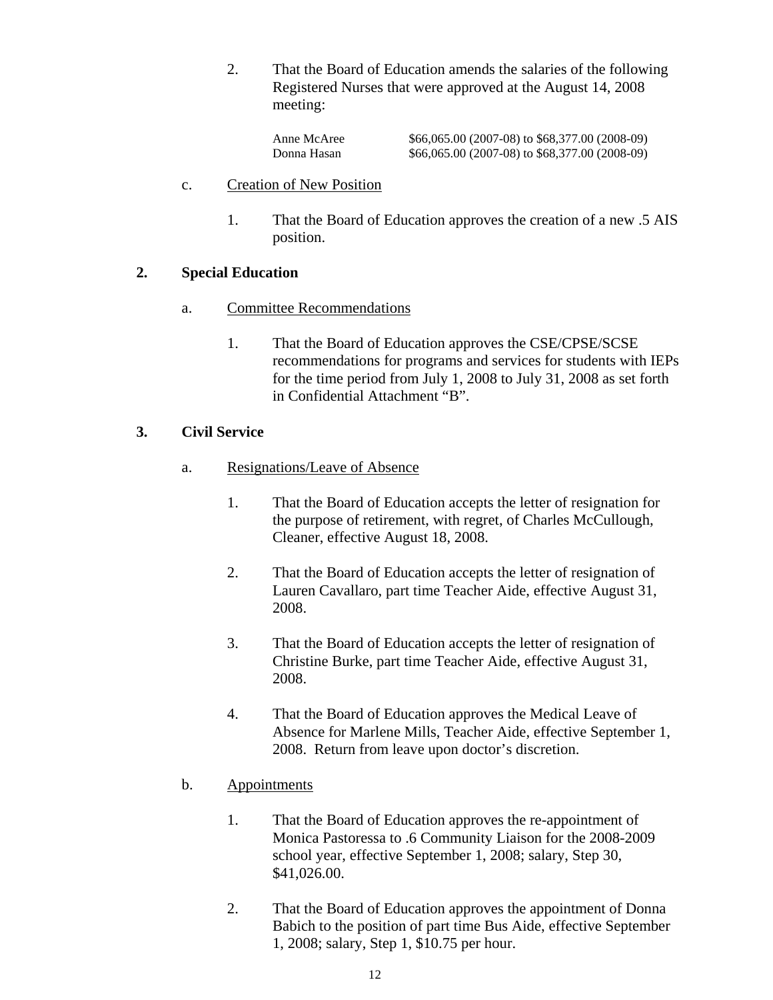2. That the Board of Education amends the salaries of the following Registered Nurses that were approved at the August 14, 2008 meeting:

Anne McAree  $$66,065.00 (2007-08)$  to \$68,377.00 (2008-09) Donna Hasan \$66,065.00 (2007-08) to \$68,377.00 (2008-09)

- c. Creation of New Position
	- 1. That the Board of Education approves the creation of a new .5 AIS position.

## **2. Special Education**

- a. Committee Recommendations
	- 1. That the Board of Education approves the CSE/CPSE/SCSE recommendations for programs and services for students with IEPs for the time period from July 1, 2008 to July 31, 2008 as set forth in Confidential Attachment "B".

## **3. Civil Service**

- a. Resignations/Leave of Absence
	- 1. That the Board of Education accepts the letter of resignation for the purpose of retirement, with regret, of Charles McCullough, Cleaner, effective August 18, 2008.
	- 2. That the Board of Education accepts the letter of resignation of Lauren Cavallaro, part time Teacher Aide, effective August 31, 2008.
	- 3. That the Board of Education accepts the letter of resignation of Christine Burke, part time Teacher Aide, effective August 31, 2008.
	- 4. That the Board of Education approves the Medical Leave of Absence for Marlene Mills, Teacher Aide, effective September 1, 2008. Return from leave upon doctor's discretion.

### b. Appointments

- 1. That the Board of Education approves the re-appointment of Monica Pastoressa to .6 Community Liaison for the 2008-2009 school year, effective September 1, 2008; salary, Step 30, \$41,026.00.
- 2. That the Board of Education approves the appointment of Donna Babich to the position of part time Bus Aide, effective September 1, 2008; salary, Step 1, \$10.75 per hour.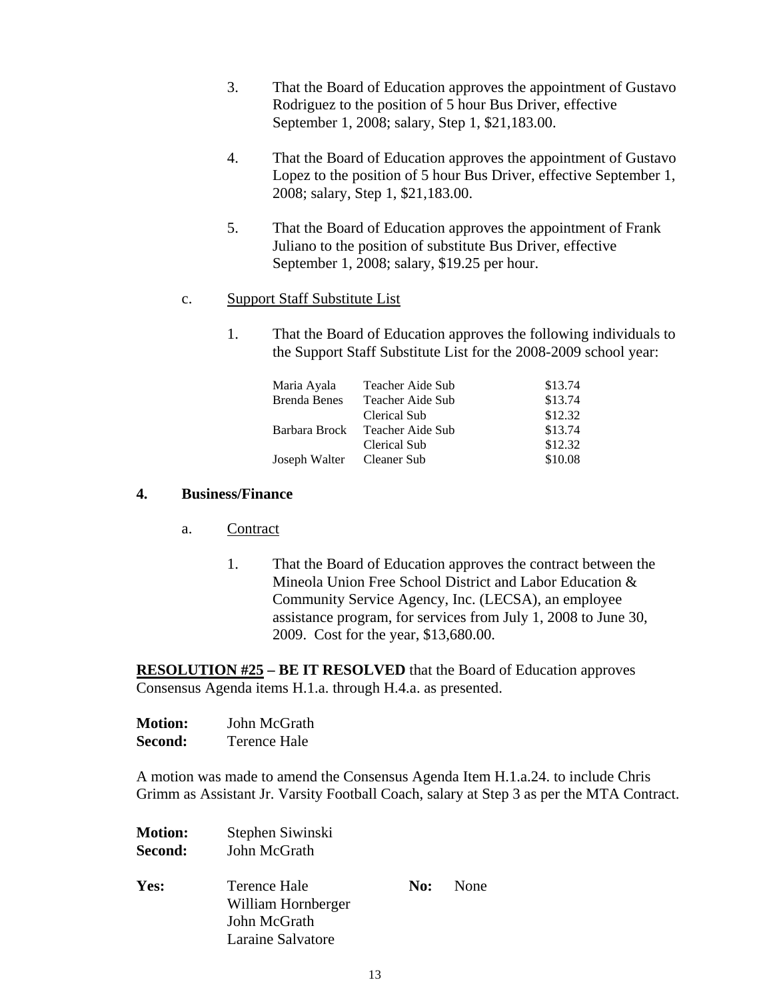- 3. That the Board of Education approves the appointment of Gustavo Rodriguez to the position of 5 hour Bus Driver, effective September 1, 2008; salary, Step 1, \$21,183.00.
- 4. That the Board of Education approves the appointment of Gustavo Lopez to the position of 5 hour Bus Driver, effective September 1, 2008; salary, Step 1, \$21,183.00.
- 5. That the Board of Education approves the appointment of Frank Juliano to the position of substitute Bus Driver, effective September 1, 2008; salary, \$19.25 per hour.
- c. Support Staff Substitute List
	- 1. That the Board of Education approves the following individuals to the Support Staff Substitute List for the 2008-2009 school year:

| Maria Ayala         | Teacher Aide Sub | \$13.74 |
|---------------------|------------------|---------|
| <b>Brenda Benes</b> | Teacher Aide Sub | \$13.74 |
|                     | Clerical Sub     | \$12.32 |
| Barbara Brock       | Teacher Aide Sub | \$13.74 |
|                     | Clerical Sub     | \$12.32 |
| Joseph Walter       | Cleaner Sub      | \$10.08 |

### **4. Business/Finance**

- a. Contract
	- 1. That the Board of Education approves the contract between the Mineola Union Free School District and Labor Education & Community Service Agency, Inc. (LECSA), an employee assistance program, for services from July 1, 2008 to June 30, 2009. Cost for the year, \$13,680.00.

**RESOLUTION #25 – BE IT RESOLVED** that the Board of Education approves Consensus Agenda items H.1.a. through H.4.a. as presented.

| <b>Motion:</b> | John McGrath        |
|----------------|---------------------|
| Second:        | <b>Terence Hale</b> |

A motion was made to amend the Consensus Agenda Item H.1.a.24. to include Chris Grimm as Assistant Jr. Varsity Football Coach, salary at Step 3 as per the MTA Contract.

| <b>Motion:</b><br>Second: | Stephen Siwinski<br>John McGrath |     |      |
|---------------------------|----------------------------------|-----|------|
| Yes:                      | Terence Hale                     | No: | None |
|                           | William Hornberger               |     |      |
|                           | John McGrath                     |     |      |
|                           | Laraine Salvatore                |     |      |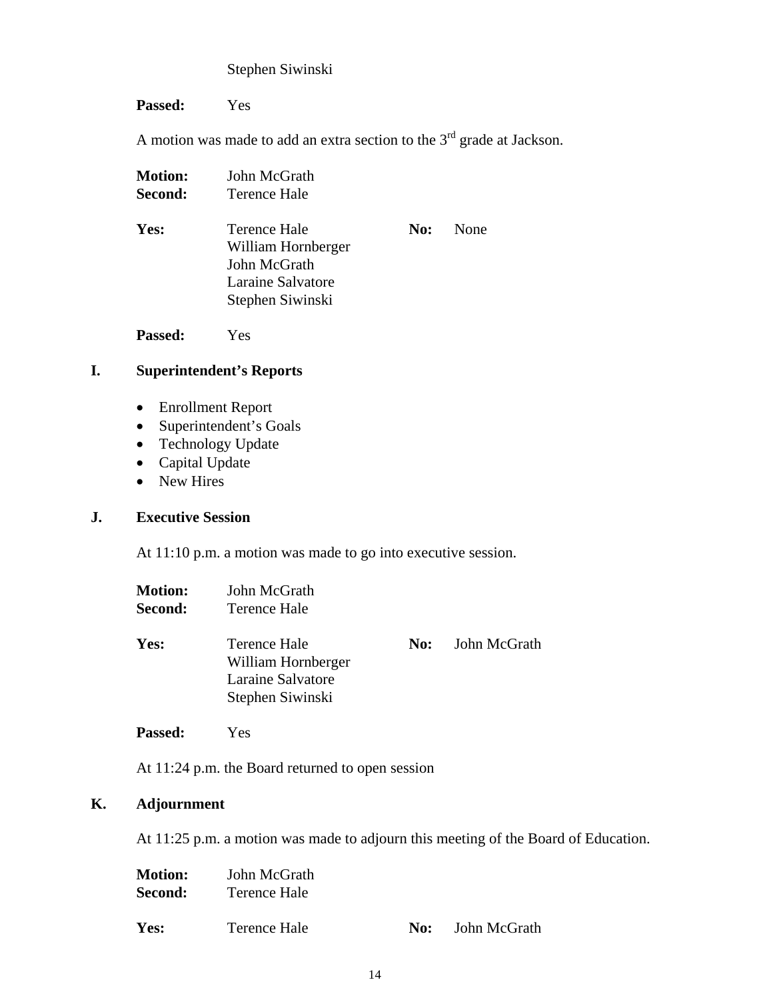## Stephen Siwinski

**Passed:** Yes

A motion was made to add an extra section to the  $3<sup>rd</sup>$  grade at Jackson.

| <b>Motion:</b> | John McGrath                                                                                |     |      |
|----------------|---------------------------------------------------------------------------------------------|-----|------|
| Second:        | Terence Hale                                                                                |     |      |
| Yes:           | Terence Hale<br>William Hornberger<br>John McGrath<br>Laraine Salvatore<br>Stephen Siwinski | No: | None |
|                |                                                                                             |     |      |

**Passed:** Yes

## **I. Superintendent's Reports**

- Enrollment Report
- Superintendent's Goals
- Technology Update
- Capital Update
- New Hires

## **J. Executive Session**

At 11:10 p.m. a motion was made to go into executive session.

| <b>Motion:</b><br>Second: | John McGrath<br>Terence Hale                                                |     |              |
|---------------------------|-----------------------------------------------------------------------------|-----|--------------|
| Yes:                      | Terence Hale<br>William Hornberger<br>Laraine Salvatore<br>Stephen Siwinski | No: | John McGrath |
| <b>Passed:</b>            | Yes                                                                         |     |              |

At 11:24 p.m. the Board returned to open session

## **K. Adjournment**

At 11:25 p.m. a motion was made to adjourn this meeting of the Board of Education.

| <b>Motion:</b> | John McGrath |     |              |
|----------------|--------------|-----|--------------|
| Second:        | Terence Hale |     |              |
| Yes:           | Terence Hale | No: | John McGrath |